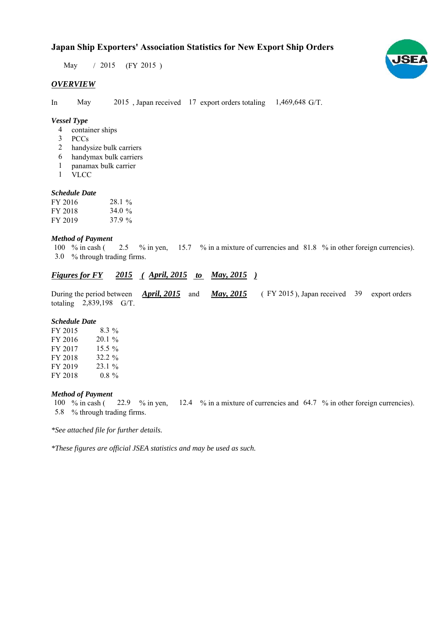# **Japan Ship Exporters' Association Statistics for New Export Ship Orders**

May / 2015 (FY 2015)

### *OVERVIEW*

In May  $2015$ , Japan received 17 export orders totaling  $1,469,648$  G/T.

### *Vessel Type*

- container ships 4
- PCCs 3
- handysize bulk carriers 2
- handymax bulk carriers 6
- panamax bulk carrier 1
- VLCC 1

### *Schedule Date*

| FY 2016 | 28.1%     |
|---------|-----------|
| FY 2018 | 34.0 $\%$ |
| FY 2019 | 37.9 %    |

#### *Method of Payment*

% in cash ( $2.5 \%$  in yen,  $15.7 \%$  in a mixture of currencies and  $81.8 \%$  in other foreign currencies). % through trading firms. 3.0100  $%$  in cash (

## *Figures for FY* 2015 (April, 2015 *to May, 2015*)

During the period between  $\frac{April, 2015}{AD, 2015}$  and  $\frac{May, 2015}{AD, 2015}$  (FY 2015), Japan received 39 export orders totaling  $2,839,198$  G/T. *April, 2015 May, 2015*

#### *Schedule Date*

| FY 2015 | $8.3\%$   |
|---------|-----------|
| FY 2016 | $20.1\%$  |
| FY 2017 | $15.5\%$  |
| FY 2018 | $32.2 \%$ |
| FY 2019 | $23.1\%$  |
| FY 2018 | $0.8 \%$  |

#### *Method of Payment*

% in cash ( $\frac{22.9}{8}$  in yen,  $\frac{12.4}{8}$  % in a mixture of currencies and 64.7 % in other foreign currencies). % through trading firms. 5.8 22.9  $%$  in yen, 100  $%$  in cash (

*\*See attached file for further details.*

*\*These figures are official JSEA statistics and may be used as such.*

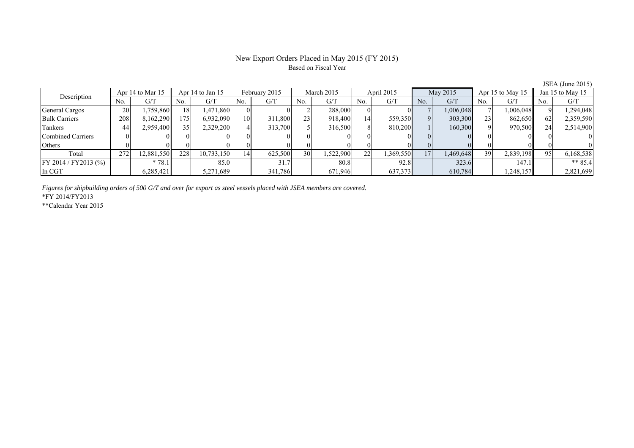### New Export Orders Placed in May 2015 (FY 2015) Based on Fiscal Year

**JSEA** (June 2015)<br>Jan 15 to May 15 No. G/T No. G/T No. G/T No. G/T No. G/T No. G/T No. G/T No. G/T General Cargos ( 20 1,759,860 18 1,471,860 0 0 0 2 288,000 0 0 7 1,006,048 7 1,006,048 9 1,294,048 Bulk Carriers 208 8,162,290 175 6,932,090 10 311,800 23 918,400 14 559,350 9 303,300 23 862,650 62 2,359,590 Tankers | 44| 2,959,400|| 35| 2,329,200| 4| 313,700| 5| 316,500| 8| 810,200| 1| 160,300| 9| 970,500|| 24| 2,514,900 Combined Carriers 0 0 0 0 0 0 0 0 0 0 0 0 0 0 0 0 Others | 0 | 0 || 0 || 0 || 0 || 0 || 0 || 0 || 0 || 0 || 0 | Total 272 12,881,550 228 10,733,150 14 625,500 30 1,522,900 22 1,369,550 17 1,469,648 39 2,839,198 95 6,168,538 FY 2014 / FY2013 (%) \* 78.1 85.0 31.7 80.8 92.8 323.6 147.1 \*\* 85.4 In CGT | | 6,285,421|| | 5,271,689 | 341,786| | 671,946| | 637,373| | 610,784| | 1,248,157|| | 2,821,699 Description Apr 14 to Mar 15 Apr 14 to Jan 15 February 2015 March 2015 April 2015 May 2015 Apr 15 to May 15

*Figures for shipbuilding orders of 500 G/T and over for export as steel vessels placed with JSEA members are covered.*

\*FY 2014/FY2013

\*\*Calendar Year 2015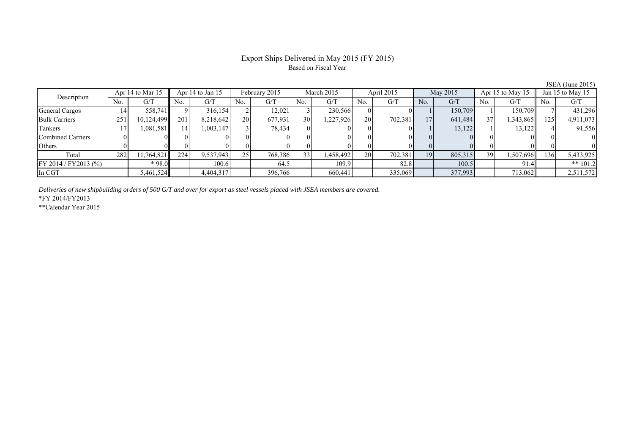## Export Ships Delivered in May 2015 (FY 2015) Based on Fiscal Year

|                      |     | Apr 14 to Mar 15 |     | Apr 14 to Jan 15 |     | February 2015 |                 | March 2015 |     | April 2015 |     | May 2015 |     | Apr 15 to May 15 |     | Jan 15 to May 15 |
|----------------------|-----|------------------|-----|------------------|-----|---------------|-----------------|------------|-----|------------|-----|----------|-----|------------------|-----|------------------|
| Description          | No. | G/7              | No. | G/T              | No. | G/T           | No.             | G/T        | No. | G/T        | No. | G/T      | No. | G/T              | No. | G/T              |
| General Cargos       | 14  | 558.7411         |     | 316.154          |     | 12,021        |                 | 230,566    |     |            |     | 150.709  |     | 150.709          |     | 431,296          |
| <b>Bulk Carriers</b> | 251 | 10,124,499       | 201 | 8,218,642        | 20  | 677,931       | 30              | ,227,926   | 20  | 702,381    | 17  | 641,484  | 37  | 1,343,865        | 125 | 4,911,073        |
| Tankers              |     | 1,081,581        | 14  | 1,003,147        |     | 78,434        |                 |            |     |            |     | 13,122   |     | 13,122           |     | 91,556           |
| Combined Carriers    |     |                  |     |                  |     |               |                 |            |     |            |     |          |     |                  |     |                  |
| <b>Others</b>        |     |                  |     |                  |     |               |                 |            |     |            |     |          |     |                  |     |                  |
| Total                | 282 | 1,764,821        | 224 | 9,537,943        | 25  | 768,386       | 33 <sup>1</sup> | .458,492   | 20  | 702,381    | 19  | 805,315  | 39  | 1,507,696        | 136 | 5,433,925        |
| FY 2014 / FY2013 (%) |     | $*98.0$          |     | 100.6            |     | 64.5          |                 | 109.9      |     | 82.8       |     | 100.5    |     | 91.4             |     | ** $101.2$       |
| In CGT               |     | 5,461,524        |     | 4,404,317        |     | 396,766       |                 | 660,441    |     | 335,069    |     | 377,993  |     | 713,062          |     | 2,511,572        |

*Deliveries of new shipbuilding orders of 500 G/T and over for export as steel vessels placed with JSEA members are covered.*

\*FY 2014/FY2013

\*\*Calendar Year 2015

JSEA (June 2015)